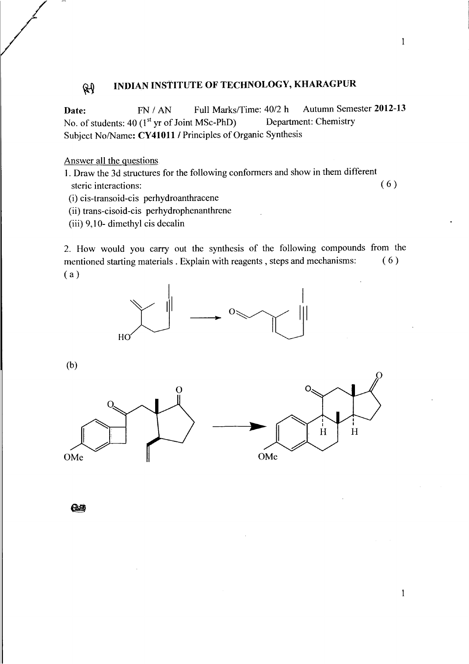## ~ **INDIAN INSTITUTE OF TECHNOLOGY, KHARAGPUR**

**Date:** FN / AN Full Marks/Time: 40/2 h Autumn Semester 2012-13 No. of students:  $40 (1<sup>st</sup> yr of Joint MSc-PhD)$  Department: Chemistry Subject No/Name: **CY41011** I Principles of Organic Synthesis

Answer all the questions

- 1. Draw the 3d structures for the following conformers and show in them different steric interactions: (6)
- (i) cis-transoid-cis perhydroanthracene
- (ii) trans-cisoid-cis perhydrophenanthrene
- (iii) 9,10- dimethyl cis decalin

2. How would you carry out the synthesis of the following compounds from the mentioned starting materials . Explain with reagents, steps and mechanisms: (6) (a)



(b)



62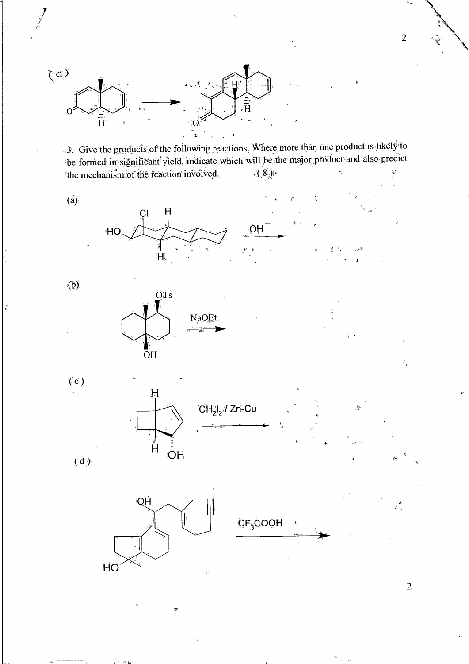

-.3. Give the products of the following reactions. Where more than one product is likely to be formed in significant yield, indicate which will be the major product and also predict  $(8)$ . the mechanism of the reaction involved.



 $(b)$ .











 $\mathbf{H}$ 

Ĥ



 $\frac{1}{2\lambda}$  ,  $\frac{\lambda^2}{2}$ 

 $\overline{2}$ 

ř,

 $\overline{2}$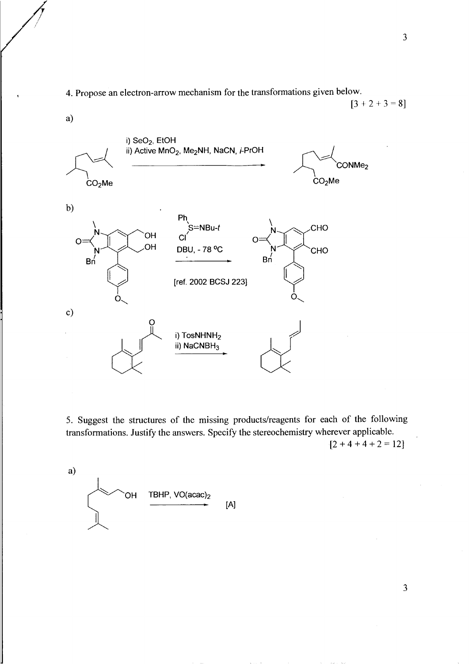4. Propose an electron-arrow mechanism for the transformations given below.

$$
[3 + 2 + 3 = 8]
$$



5. Suggest the structures of the missing products/reagents for each of the following transformations. Justify the answers. Specify the stereochemistry wherever applicable.

 $[2 + 4 + 4 + 2 = 12]$ 



3